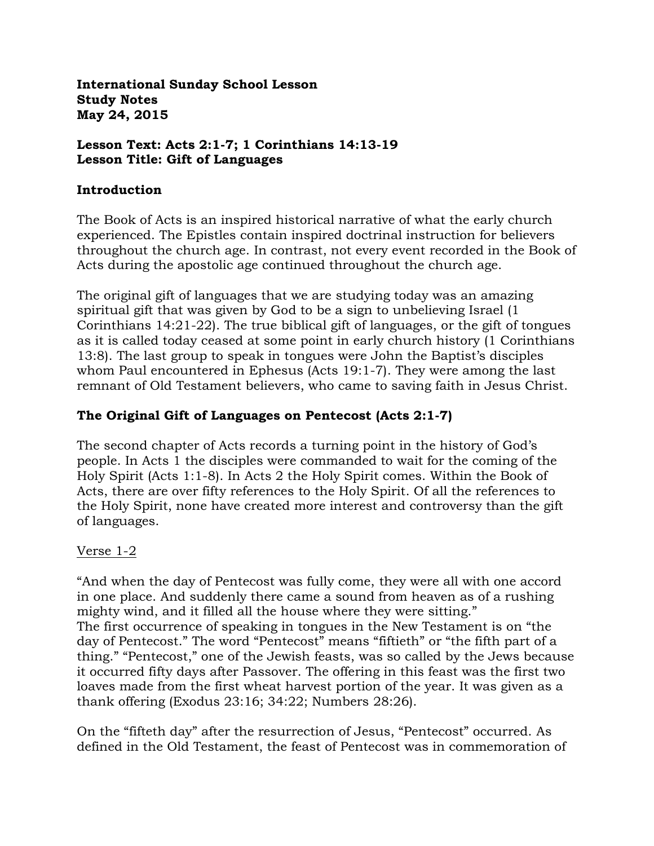**International Sunday School Lesson Study Notes May 24, 2015**

#### **Lesson Text: Acts 2:1-7; 1 Corinthians 14:13-19 Lesson Title: Gift of Languages**

#### **Introduction**

The Book of Acts is an inspired historical narrative of what the early church experienced. The Epistles contain inspired doctrinal instruction for believers throughout the church age. In contrast, not every event recorded in the Book of Acts during the apostolic age continued throughout the church age.

The original gift of languages that we are studying today was an amazing spiritual gift that was given by God to be a sign to unbelieving Israel (1 Corinthians 14:21-22). The true biblical gift of languages, or the gift of tongues as it is called today ceased at some point in early church history (1 Corinthians 13:8). The last group to speak in tongues were John the Baptist's disciples whom Paul encountered in Ephesus (Acts 19:1-7). They were among the last remnant of Old Testament believers, who came to saving faith in Jesus Christ.

### **The Original Gift of Languages on Pentecost (Acts 2:1-7)**

The second chapter of Acts records a turning point in the history of God's people. In Acts 1 the disciples were commanded to wait for the coming of the Holy Spirit (Acts 1:1-8). In Acts 2 the Holy Spirit comes. Within the Book of Acts, there are over fifty references to the Holy Spirit. Of all the references to the Holy Spirit, none have created more interest and controversy than the gift of languages.

#### Verse 1-2

"And when the day of Pentecost was fully come, they were all with one accord in one place. And suddenly there came a sound from heaven as of a rushing mighty wind, and it filled all the house where they were sitting." The first occurrence of speaking in tongues in the New Testament is on "the day of Pentecost." The word "Pentecost" means "fiftieth" or "the fifth part of a thing." "Pentecost," one of the Jewish feasts, was so called by the Jews because it occurred fifty days after Passover. The offering in this feast was the first two loaves made from the first wheat harvest portion of the year. It was given as a thank offering (Exodus 23:16; 34:22; Numbers 28:26).

On the "fifteth day" after the resurrection of Jesus, "Pentecost" occurred. As defined in the Old Testament, the feast of Pentecost was in commemoration of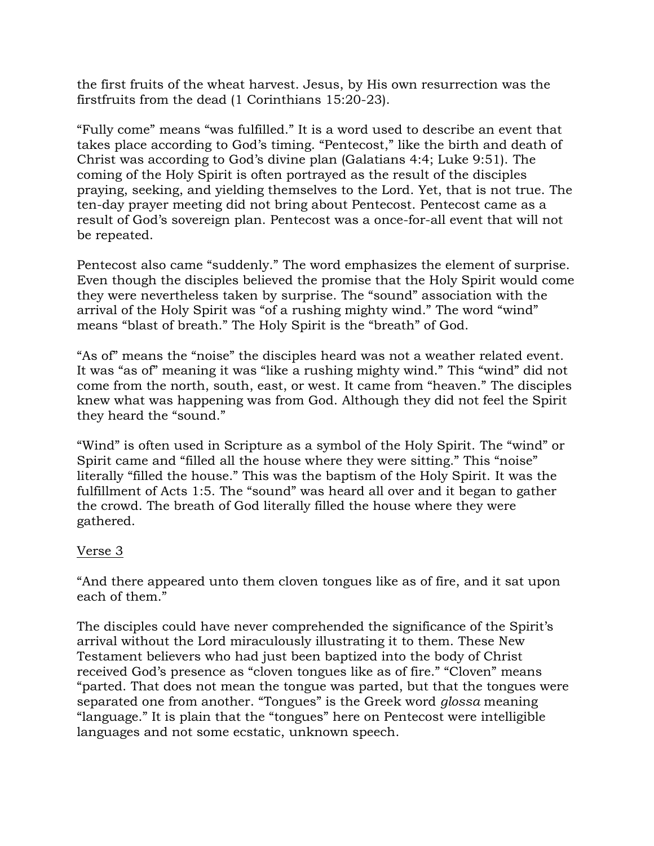the first fruits of the wheat harvest. Jesus, by His own resurrection was the firstfruits from the dead (1 Corinthians 15:20-23).

"Fully come" means "was fulfilled." It is a word used to describe an event that takes place according to God's timing. "Pentecost," like the birth and death of Christ was according to God's divine plan (Galatians 4:4; Luke 9:51). The coming of the Holy Spirit is often portrayed as the result of the disciples praying, seeking, and yielding themselves to the Lord. Yet, that is not true. The ten-day prayer meeting did not bring about Pentecost. Pentecost came as a result of God's sovereign plan. Pentecost was a once-for-all event that will not be repeated.

Pentecost also came "suddenly." The word emphasizes the element of surprise. Even though the disciples believed the promise that the Holy Spirit would come they were nevertheless taken by surprise. The "sound" association with the arrival of the Holy Spirit was "of a rushing mighty wind." The word "wind" means "blast of breath." The Holy Spirit is the "breath" of God.

"As of" means the "noise" the disciples heard was not a weather related event. It was "as of" meaning it was "like a rushing mighty wind." This "wind" did not come from the north, south, east, or west. It came from "heaven." The disciples knew what was happening was from God. Although they did not feel the Spirit they heard the "sound."

"Wind" is often used in Scripture as a symbol of the Holy Spirit. The "wind" or Spirit came and "filled all the house where they were sitting." This "noise" literally "filled the house." This was the baptism of the Holy Spirit. It was the fulfillment of Acts 1:5. The "sound" was heard all over and it began to gather the crowd. The breath of God literally filled the house where they were gathered.

#### Verse 3

"And there appeared unto them cloven tongues like as of fire, and it sat upon each of them."

The disciples could have never comprehended the significance of the Spirit's arrival without the Lord miraculously illustrating it to them. These New Testament believers who had just been baptized into the body of Christ received God's presence as "cloven tongues like as of fire." "Cloven" means "parted. That does not mean the tongue was parted, but that the tongues were separated one from another. "Tongues" is the Greek word *glossa* meaning "language." It is plain that the "tongues" here on Pentecost were intelligible languages and not some ecstatic, unknown speech.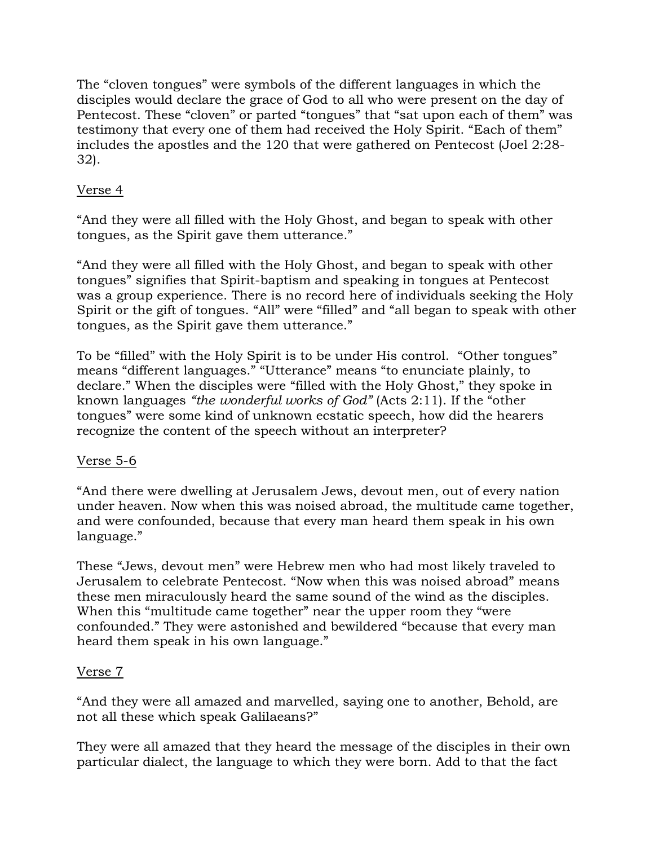The "cloven tongues" were symbols of the different languages in which the disciples would declare the grace of God to all who were present on the day of Pentecost. These "cloven" or parted "tongues" that "sat upon each of them" was testimony that every one of them had received the Holy Spirit. "Each of them" includes the apostles and the 120 that were gathered on Pentecost (Joel 2:28- 32).

## Verse 4

"And they were all filled with the Holy Ghost, and began to speak with other tongues, as the Spirit gave them utterance."

"And they were all filled with the Holy Ghost, and began to speak with other tongues" signifies that Spirit-baptism and speaking in tongues at Pentecost was a group experience. There is no record here of individuals seeking the Holy Spirit or the gift of tongues. "All" were "filled" and "all began to speak with other tongues, as the Spirit gave them utterance."

To be "filled" with the Holy Spirit is to be under His control. "Other tongues" means "different languages." "Utterance" means "to enunciate plainly, to declare." When the disciples were "filled with the Holy Ghost," they spoke in known languages *"the wonderful works of God"* (Acts 2:11). If the "other tongues" were some kind of unknown ecstatic speech, how did the hearers recognize the content of the speech without an interpreter?

### Verse 5-6

"And there were dwelling at Jerusalem Jews, devout men, out of every nation under heaven. Now when this was noised abroad, the multitude came together, and were confounded, because that every man heard them speak in his own language."

These "Jews, devout men" were Hebrew men who had most likely traveled to Jerusalem to celebrate Pentecost. "Now when this was noised abroad" means these men miraculously heard the same sound of the wind as the disciples. When this "multitude came together" near the upper room they "were confounded." They were astonished and bewildered "because that every man heard them speak in his own language."

### Verse 7

"And they were all amazed and marvelled, saying one to another, Behold, are not all these which speak Galilaeans?"

They were all amazed that they heard the message of the disciples in their own particular dialect, the language to which they were born. Add to that the fact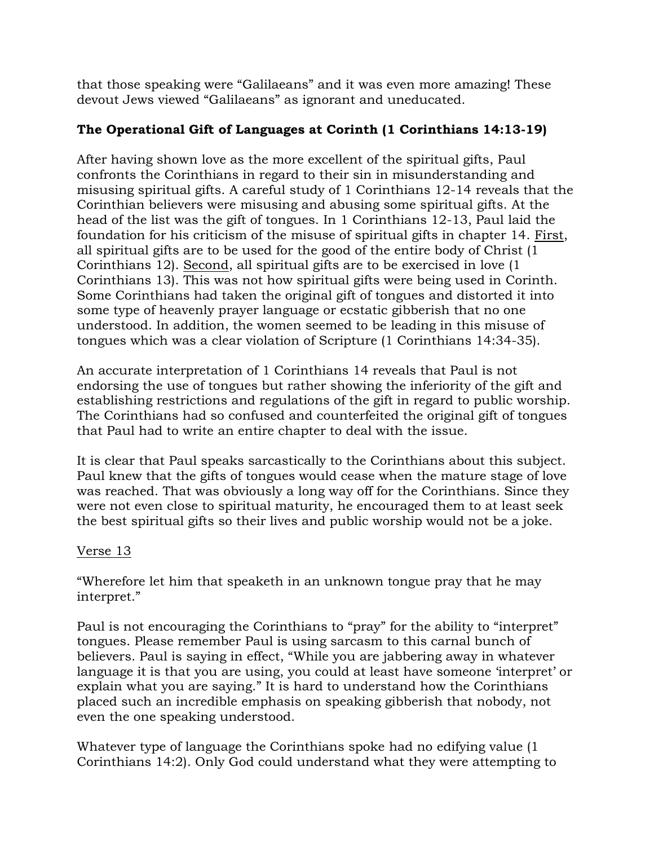that those speaking were "Galilaeans" and it was even more amazing! These devout Jews viewed "Galilaeans" as ignorant and uneducated.

# **The Operational Gift of Languages at Corinth (1 Corinthians 14:13-19)**

After having shown love as the more excellent of the spiritual gifts, Paul confronts the Corinthians in regard to their sin in misunderstanding and misusing spiritual gifts. A careful study of 1 Corinthians 12-14 reveals that the Corinthian believers were misusing and abusing some spiritual gifts. At the head of the list was the gift of tongues. In 1 Corinthians 12-13, Paul laid the foundation for his criticism of the misuse of spiritual gifts in chapter 14. First, all spiritual gifts are to be used for the good of the entire body of Christ (1 Corinthians 12). Second, all spiritual gifts are to be exercised in love (1 Corinthians 13). This was not how spiritual gifts were being used in Corinth. Some Corinthians had taken the original gift of tongues and distorted it into some type of heavenly prayer language or ecstatic gibberish that no one understood. In addition, the women seemed to be leading in this misuse of tongues which was a clear violation of Scripture (1 Corinthians 14:34-35).

An accurate interpretation of 1 Corinthians 14 reveals that Paul is not endorsing the use of tongues but rather showing the inferiority of the gift and establishing restrictions and regulations of the gift in regard to public worship. The Corinthians had so confused and counterfeited the original gift of tongues that Paul had to write an entire chapter to deal with the issue.

It is clear that Paul speaks sarcastically to the Corinthians about this subject. Paul knew that the gifts of tongues would cease when the mature stage of love was reached. That was obviously a long way off for the Corinthians. Since they were not even close to spiritual maturity, he encouraged them to at least seek the best spiritual gifts so their lives and public worship would not be a joke.

### Verse 13

"Wherefore let him that speaketh in an unknown tongue pray that he may interpret."

Paul is not encouraging the Corinthians to "pray" for the ability to "interpret" tongues. Please remember Paul is using sarcasm to this carnal bunch of believers. Paul is saying in effect, "While you are jabbering away in whatever language it is that you are using, you could at least have someone 'interpret' or explain what you are saying." It is hard to understand how the Corinthians placed such an incredible emphasis on speaking gibberish that nobody, not even the one speaking understood.

Whatever type of language the Corinthians spoke had no edifying value (1 Corinthians 14:2). Only God could understand what they were attempting to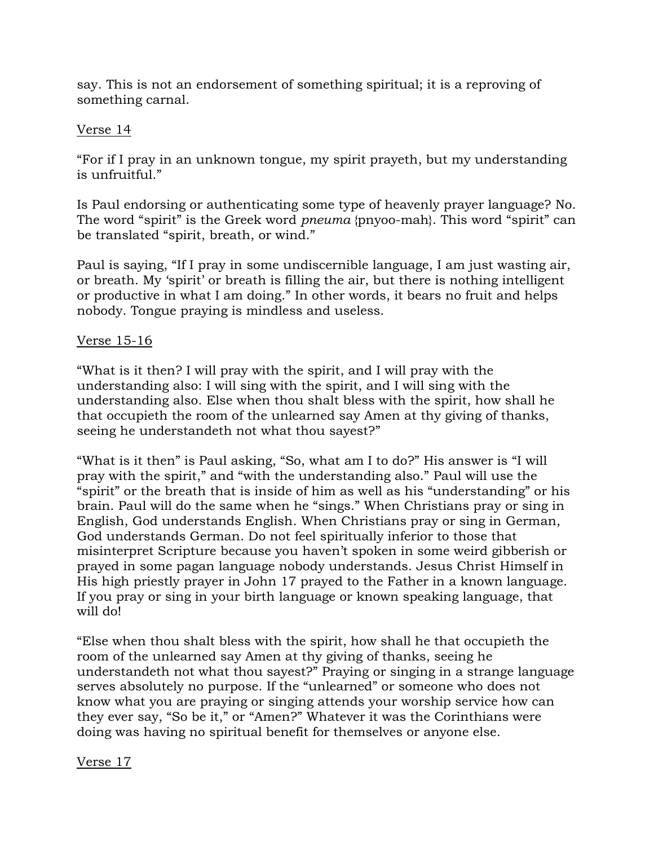say. This is not an endorsement of something spiritual; it is a reproving of something carnal.

#### Verse 14

"For if I pray in an unknown tongue, my spirit prayeth, but my understanding is unfruitful."

Is Paul endorsing or authenticating some type of heavenly prayer language? No. The word "spirit" is the Greek word *pneuma* {pnyoo-mah}. This word "spirit" can be translated "spirit, breath, or wind."

Paul is saying, "If I pray in some undiscernible language, I am just wasting air, or breath. My 'spirit' or breath is filling the air, but there is nothing intelligent or productive in what I am doing." In other words, it bears no fruit and helps nobody. Tongue praying is mindless and useless.

### Verse 15-16

"What is it then? I will pray with the spirit, and I will pray with the understanding also: I will sing with the spirit, and I will sing with the understanding also. Else when thou shalt bless with the spirit, how shall he that occupieth the room of the unlearned say Amen at thy giving of thanks, seeing he understandeth not what thou sayest?"

"What is it then" is Paul asking, "So, what am I to do?" His answer is "I will pray with the spirit," and "with the understanding also." Paul will use the "spirit" or the breath that is inside of him as well as his "understanding" or his brain. Paul will do the same when he "sings." When Christians pray or sing in English, God understands English. When Christians pray or sing in German, God understands German. Do not feel spiritually inferior to those that misinterpret Scripture because you haven't spoken in some weird gibberish or prayed in some pagan language nobody understands. Jesus Christ Himself in His high priestly prayer in John 17 prayed to the Father in a known language. If you pray or sing in your birth language or known speaking language, that will do!

"Else when thou shalt bless with the spirit, how shall he that occupieth the room of the unlearned say Amen at thy giving of thanks, seeing he understandeth not what thou sayest?" Praying or singing in a strange language serves absolutely no purpose. If the "unlearned" or someone who does not know what you are praying or singing attends your worship service how can they ever say, "So be it," or "Amen?" Whatever it was the Corinthians were doing was having no spiritual benefit for themselves or anyone else.

Verse 17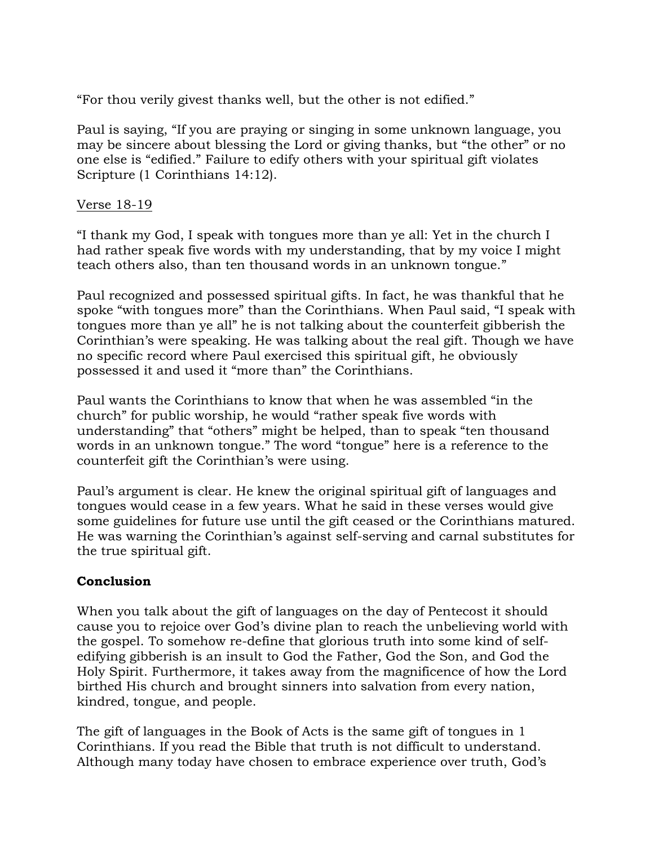"For thou verily givest thanks well, but the other is not edified."

Paul is saying, "If you are praying or singing in some unknown language, you may be sincere about blessing the Lord or giving thanks, but "the other" or no one else is "edified." Failure to edify others with your spiritual gift violates Scripture (1 Corinthians 14:12).

#### Verse 18-19

"I thank my God, I speak with tongues more than ye all: Yet in the church I had rather speak five words with my understanding, that by my voice I might teach others also, than ten thousand words in an unknown tongue."

Paul recognized and possessed spiritual gifts. In fact, he was thankful that he spoke "with tongues more" than the Corinthians. When Paul said, "I speak with tongues more than ye all" he is not talking about the counterfeit gibberish the Corinthian's were speaking. He was talking about the real gift. Though we have no specific record where Paul exercised this spiritual gift, he obviously possessed it and used it "more than" the Corinthians.

Paul wants the Corinthians to know that when he was assembled "in the church" for public worship, he would "rather speak five words with understanding" that "others" might be helped, than to speak "ten thousand words in an unknown tongue." The word "tongue" here is a reference to the counterfeit gift the Corinthian's were using.

Paul's argument is clear. He knew the original spiritual gift of languages and tongues would cease in a few years. What he said in these verses would give some guidelines for future use until the gift ceased or the Corinthians matured. He was warning the Corinthian's against self-serving and carnal substitutes for the true spiritual gift.

### **Conclusion**

When you talk about the gift of languages on the day of Pentecost it should cause you to rejoice over God's divine plan to reach the unbelieving world with the gospel. To somehow re-define that glorious truth into some kind of selfedifying gibberish is an insult to God the Father, God the Son, and God the Holy Spirit. Furthermore, it takes away from the magnificence of how the Lord birthed His church and brought sinners into salvation from every nation, kindred, tongue, and people.

The gift of languages in the Book of Acts is the same gift of tongues in 1 Corinthians. If you read the Bible that truth is not difficult to understand. Although many today have chosen to embrace experience over truth, God's